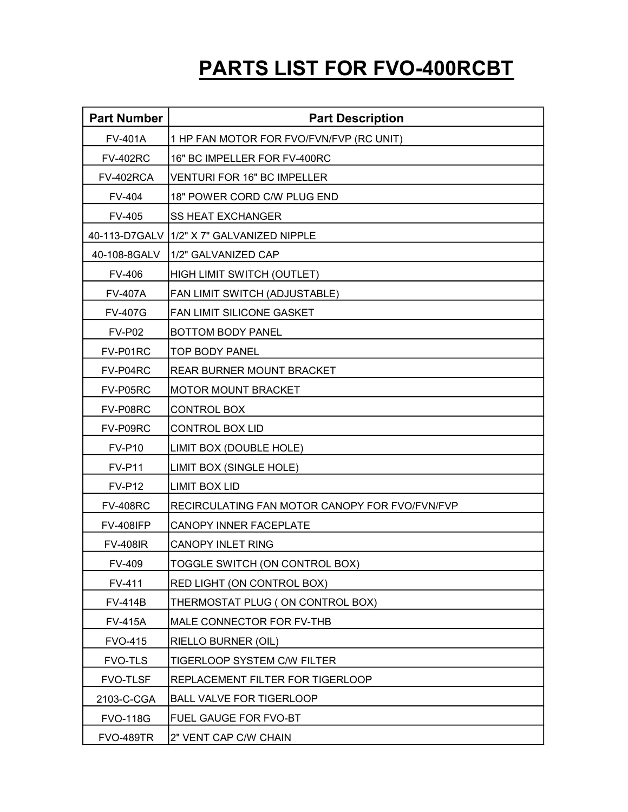## PARTS LIST FOR FVO-400RCBT

| <b>Part Number</b> | <b>Part Description</b>                        |
|--------------------|------------------------------------------------|
| <b>FV-401A</b>     | 1 HP FAN MOTOR FOR FVO/FVN/FVP (RC UNIT)       |
| <b>FV-402RC</b>    | 16" BC IMPELLER FOR FV-400RC                   |
| FV-402RCA          | VENTURI FOR 16" BC IMPELLER                    |
| FV-404             | 18" POWER CORD C/W PLUG END                    |
| <b>FV-405</b>      | <b>SS HEAT EXCHANGER</b>                       |
|                    | 40-113-D7GALV   1/2" X 7" GALVANIZED NIPPLE    |
| 40-108-8GALV       | 1/2" GALVANIZED CAP                            |
| <b>FV-406</b>      | HIGH LIMIT SWITCH (OUTLET)                     |
| <b>FV-407A</b>     | FAN LIMIT SWITCH (ADJUSTABLE)                  |
| <b>FV-407G</b>     | FAN LIMIT SILICONE GASKET                      |
| <b>FV-P02</b>      | BOTTOM BODY PANEL                              |
| FV-P01RC           | <b>TOP BODY PANEL</b>                          |
| FV-P04RC           | <b>REAR BURNER MOUNT BRACKET</b>               |
| FV-P05RC           | <b>MOTOR MOUNT BRACKET</b>                     |
| FV-P08RC           | <b>CONTROL BOX</b>                             |
| FV-P09RC           | <b>CONTROL BOX LID</b>                         |
| <b>FV-P10</b>      | LIMIT BOX (DOUBLE HOLE)                        |
| <b>FV-P11</b>      | LIMIT BOX (SINGLE HOLE)                        |
| <b>FV-P12</b>      | <b>LIMIT BOX LID</b>                           |
| <b>FV-408RC</b>    | RECIRCULATING FAN MOTOR CANOPY FOR FVO/FVN/FVP |
| <b>FV-408IFP</b>   | CANOPY INNER FACEPLATE                         |
| <b>FV-408IR</b>    | <b>CANOPY INLET RING</b>                       |
| <b>FV-409</b>      | TOGGLE SWITCH (ON CONTROL BOX)                 |
| FV-411             | RED LIGHT (ON CONTROL BOX)                     |
| <b>FV-414B</b>     | THERMOSTAT PLUG (ON CONTROL BOX)               |
| <b>FV-415A</b>     | MALE CONNECTOR FOR FV-THB                      |
| <b>FVO-415</b>     | <b>RIELLO BURNER (OIL)</b>                     |
| <b>FVO-TLS</b>     | TIGERLOOP SYSTEM C/W FILTER                    |
| <b>FVO-TLSF</b>    | REPLACEMENT FILTER FOR TIGERLOOP               |
| 2103-C-CGA         | <b>BALL VALVE FOR TIGERLOOP</b>                |
| <b>FVO-118G</b>    | <b>FUEL GAUGE FOR FVO-BT</b>                   |
| <b>FVO-489TR</b>   | 2" VENT CAP C/W CHAIN                          |